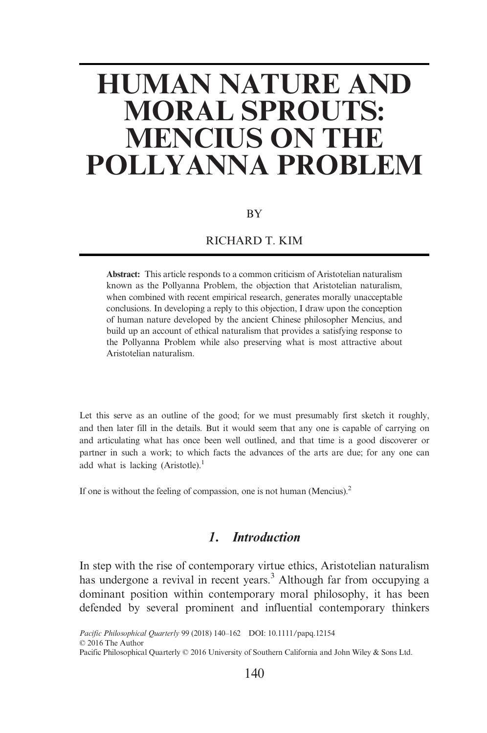# HUMAN NATURE AND MORAL SPROUTS: MENCIUS ON THE POLLYANNA PROBLEM

### BY

## RICHARD T. KIM

Abstract: This article responds to a common criticism of Aristotelian naturalism known as the Pollyanna Problem, the objection that Aristotelian naturalism, when combined with recent empirical research, generates morally unacceptable conclusions. In developing a reply to this objection, I draw upon the conception of human nature developed by the ancient Chinese philosopher Mencius, and build up an account of ethical naturalism that provides a satisfying response to the Pollyanna Problem while also preserving what is most attractive about Aristotelian naturalism.

Let this serve as an outline of the good; for we must presumably first sketch it roughly, and then later fill in the details. But it would seem that any one is capable of carrying on and articulating what has once been well outlined, and that time is a good discoverer or partner in such a work; to which facts the advances of the arts are due; for any one can add what is lacking (Aristotle).<sup>1</sup>

If one is without the feeling of compassion, one is not human (Mencius).<sup>2</sup>

## 1. Introduction

In step with the rise of contemporary virtue ethics, Aristotelian naturalism has undergone a revival in recent years.<sup>3</sup> Although far from occupying a dominant position within contemporary moral philosophy, it has been defended by several prominent and influential contemporary thinkers

Pacific Philosophical Quarterly 99 (2018) 140–162 DOI: 10.1111/papq.12154 © 2016 The Author Pacific Philosophical Quarterly © 2016 University of Southern California and John Wiley & Sons Ltd.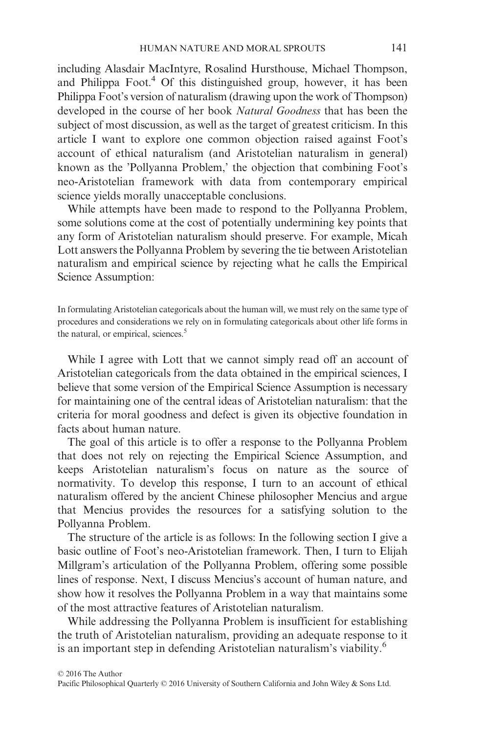including Alasdair MacIntyre, Rosalind Hursthouse, Michael Thompson, and Philippa Foot.<sup>4</sup> Of this distinguished group, however, it has been Philippa Foot's version of naturalism (drawing upon the work of Thompson) developed in the course of her book Natural Goodness that has been the subject of most discussion, as well as the target of greatest criticism. In this article I want to explore one common objection raised against Foot's account of ethical naturalism (and Aristotelian naturalism in general) known as the 'Pollyanna Problem,' the objection that combining Foot's neo-Aristotelian framework with data from contemporary empirical science yields morally unacceptable conclusions.

While attempts have been made to respond to the Pollyanna Problem, some solutions come at the cost of potentially undermining key points that any form of Aristotelian naturalism should preserve. For example, Micah Lott answers the Pollyanna Problem by severing the tie between Aristotelian naturalism and empirical science by rejecting what he calls the Empirical Science Assumption:

In formulating Aristotelian categoricals about the human will, we must rely on the same type of procedures and considerations we rely on in formulating categoricals about other life forms in the natural, or empirical, sciences.<sup>5</sup>

While I agree with Lott that we cannot simply read off an account of Aristotelian categoricals from the data obtained in the empirical sciences, I believe that some version of the Empirical Science Assumption is necessary for maintaining one of the central ideas of Aristotelian naturalism: that the criteria for moral goodness and defect is given its objective foundation in facts about human nature.

The goal of this article is to offer a response to the Pollyanna Problem that does not rely on rejecting the Empirical Science Assumption, and keeps Aristotelian naturalism's focus on nature as the source of normativity. To develop this response, I turn to an account of ethical naturalism offered by the ancient Chinese philosopher Mencius and argue that Mencius provides the resources for a satisfying solution to the Pollyanna Problem.

The structure of the article is as follows: In the following section I give a basic outline of Foot's neo-Aristotelian framework. Then, I turn to Elijah Millgram's articulation of the Pollyanna Problem, offering some possible lines of response. Next, I discuss Mencius's account of human nature, and show how it resolves the Pollyanna Problem in a way that maintains some of the most attractive features of Aristotelian naturalism.

While addressing the Pollyanna Problem is insufficient for establishing the truth of Aristotelian naturalism, providing an adequate response to it is an important step in defending Aristotelian naturalism's viability.<sup>6</sup>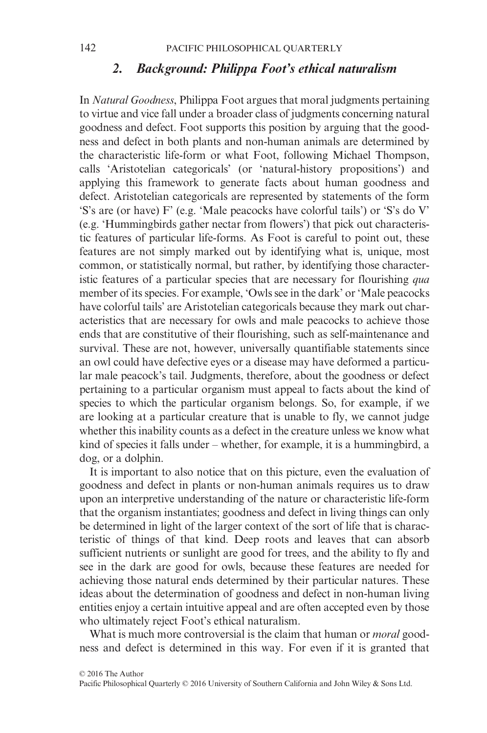## 2. Background: Philippa Foot's ethical naturalism

In Natural Goodness, Philippa Foot argues that moral judgments pertaining to virtue and vice fall under a broader class of judgments concerning natural goodness and defect. Foot supports this position by arguing that the goodness and defect in both plants and non-human animals are determined by the characteristic life-form or what Foot, following Michael Thompson, calls 'Aristotelian categoricals' (or 'natural-history propositions') and applying this framework to generate facts about human goodness and defect. Aristotelian categoricals are represented by statements of the form 'S's are (or have) F' (e.g. 'Male peacocks have colorful tails') or 'S's do V' (e.g. 'Hummingbirds gather nectar from flowers') that pick out characteristic features of particular life-forms. As Foot is careful to point out, these features are not simply marked out by identifying what is, unique, most common, or statistically normal, but rather, by identifying those characteristic features of a particular species that are necessary for flourishing qua member of its species. For example, 'Owls see in the dark' or'Male peacocks have colorful tails' are Aristotelian categoricals because they mark out characteristics that are necessary for owls and male peacocks to achieve those ends that are constitutive of their flourishing, such as self-maintenance and survival. These are not, however, universally quantifiable statements since an owl could have defective eyes or a disease may have deformed a particular male peacock's tail. Judgments, therefore, about the goodness or defect pertaining to a particular organism must appeal to facts about the kind of species to which the particular organism belongs. So, for example, if we are looking at a particular creature that is unable to fly, we cannot judge whether this inability counts as a defect in the creature unless we know what kind of species it falls under – whether, for example, it is a hummingbird, a dog, or a dolphin.

It is important to also notice that on this picture, even the evaluation of goodness and defect in plants or non-human animals requires us to draw upon an interpretive understanding of the nature or characteristic life-form that the organism instantiates; goodness and defect in living things can only be determined in light of the larger context of the sort of life that is characteristic of things of that kind. Deep roots and leaves that can absorb sufficient nutrients or sunlight are good for trees, and the ability to fly and see in the dark are good for owls, because these features are needed for achieving those natural ends determined by their particular natures. These ideas about the determination of goodness and defect in non-human living entities enjoy a certain intuitive appeal and are often accepted even by those who ultimately reject Foot's ethical naturalism.

What is much more controversial is the claim that human or *moral* goodness and defect is determined in this way. For even if it is granted that

<sup>© 2016</sup> The Author

Pacific Philosophical Quarterly © 2016 University of Southern California and John Wiley & Sons Ltd.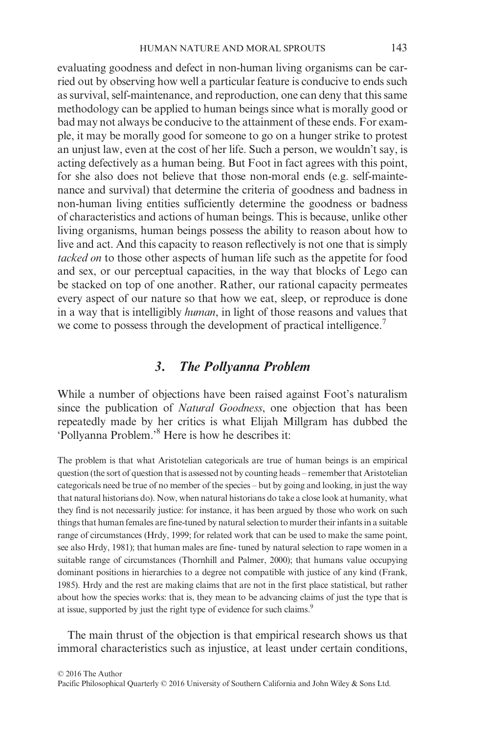evaluating goodness and defect in non-human living organisms can be carried out by observing how well a particular feature is conducive to ends such as survival, self-maintenance, and reproduction, one can deny that this same methodology can be applied to human beings since what is morally good or bad may not always be conducive to the attainment of these ends. For example, it may be morally good for someone to go on a hunger strike to protest an unjust law, even at the cost of her life. Such a person, we wouldn't say, is acting defectively as a human being. But Foot in fact agrees with this point, for she also does not believe that those non-moral ends (e.g. self-maintenance and survival) that determine the criteria of goodness and badness in non-human living entities sufficiently determine the goodness or badness of characteristics and actions of human beings. This is because, unlike other living organisms, human beings possess the ability to reason about how to live and act. And this capacity to reason reflectively is not one that is simply tacked on to those other aspects of human life such as the appetite for food and sex, or our perceptual capacities, in the way that blocks of Lego can be stacked on top of one another. Rather, our rational capacity permeates every aspect of our nature so that how we eat, sleep, or reproduce is done in a way that is intelligibly human, in light of those reasons and values that we come to possess through the development of practical intelligence.<sup>7</sup>

## 3. The Pollyanna Problem

While a number of objections have been raised against Foot's naturalism since the publication of *Natural Goodness*, one objection that has been repeatedly made by her critics is what Elijah Millgram has dubbed the 'Pollyanna Problem.' <sup>8</sup> Here is how he describes it:

The problem is that what Aristotelian categoricals are true of human beings is an empirical question (the sort of question that is assessed not by counting heads – remember that Aristotelian categoricals need be true of no member of the species – but by going and looking, in just the way that natural historians do). Now, when natural historians do take a close look at humanity, what they find is not necessarily justice: for instance, it has been argued by those who work on such things that human females are fine-tuned by natural selection to murder their infants in a suitable range of circumstances (Hrdy, 1999; for related work that can be used to make the same point, see also Hrdy, 1981); that human males are fine- tuned by natural selection to rape women in a suitable range of circumstances (Thornhill and Palmer, 2000); that humans value occupying dominant positions in hierarchies to a degree not compatible with justice of any kind (Frank, 1985). Hrdy and the rest are making claims that are not in the first place statistical, but rather about how the species works: that is, they mean to be advancing claims of just the type that is at issue, supported by just the right type of evidence for such claims.<sup>9</sup>

The main thrust of the objection is that empirical research shows us that immoral characteristics such as injustice, at least under certain conditions,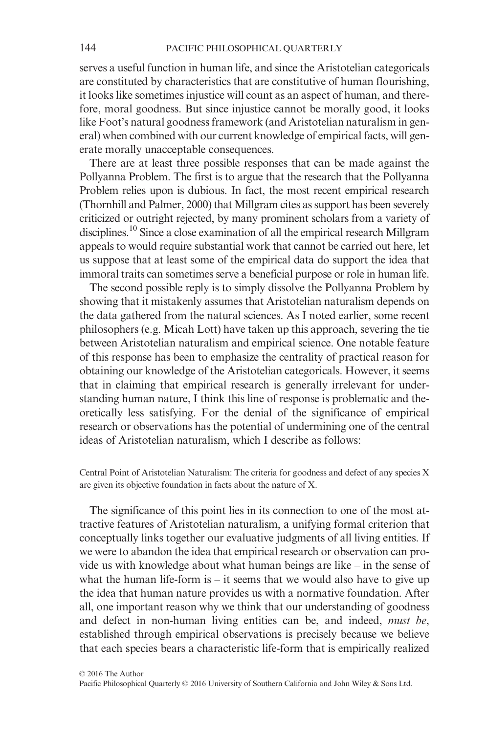serves a useful function in human life, and since the Aristotelian categoricals are constituted by characteristics that are constitutive of human flourishing, it looks like sometimes injustice will count as an aspect of human, and therefore, moral goodness. But since injustice cannot be morally good, it looks like Foot's natural goodness framework (and Aristotelian naturalism in general) when combined with our current knowledge of empirical facts, will generate morally unacceptable consequences.

There are at least three possible responses that can be made against the Pollyanna Problem. The first is to argue that the research that the Pollyanna Problem relies upon is dubious. In fact, the most recent empirical research (Thornhill and Palmer, 2000) that Millgram cites as support has been severely criticized or outright rejected, by many prominent scholars from a variety of disciplines.<sup>10</sup> Since a close examination of all the empirical research Millgram appeals to would require substantial work that cannot be carried out here, let us suppose that at least some of the empirical data do support the idea that immoral traits can sometimes serve a beneficial purpose or role in human life.

The second possible reply is to simply dissolve the Pollyanna Problem by showing that it mistakenly assumes that Aristotelian naturalism depends on the data gathered from the natural sciences. As I noted earlier, some recent philosophers (e.g. Micah Lott) have taken up this approach, severing the tie between Aristotelian naturalism and empirical science. One notable feature of this response has been to emphasize the centrality of practical reason for obtaining our knowledge of the Aristotelian categoricals. However, it seems that in claiming that empirical research is generally irrelevant for understanding human nature, I think this line of response is problematic and theoretically less satisfying. For the denial of the significance of empirical research or observations has the potential of undermining one of the central ideas of Aristotelian naturalism, which I describe as follows:

Central Point of Aristotelian Naturalism: The criteria for goodness and defect of any species X are given its objective foundation in facts about the nature of X.

The significance of this point lies in its connection to one of the most attractive features of Aristotelian naturalism, a unifying formal criterion that conceptually links together our evaluative judgments of all living entities. If we were to abandon the idea that empirical research or observation can provide us with knowledge about what human beings are like – in the sense of what the human life-form is  $-$  it seems that we would also have to give up the idea that human nature provides us with a normative foundation. After all, one important reason why we think that our understanding of goodness and defect in non-human living entities can be, and indeed, must be, established through empirical observations is precisely because we believe that each species bears a characteristic life-form that is empirically realized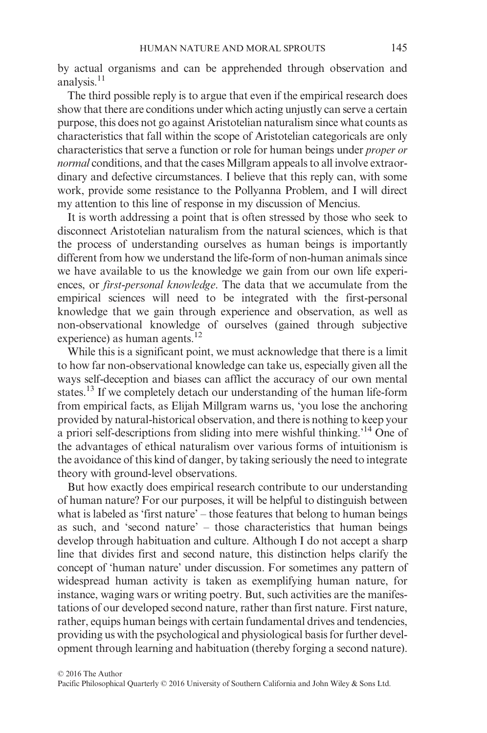by actual organisms and can be apprehended through observation and analysis.<sup>11</sup>

The third possible reply is to argue that even if the empirical research does show that there are conditions under which acting unjustly can serve a certain purpose, this does not go against Aristotelian naturalism since what counts as characteristics that fall within the scope of Aristotelian categoricals are only characteristics that serve a function or role for human beings under proper or normal conditions, and that the cases Millgram appeals to all involve extraordinary and defective circumstances. I believe that this reply can, with some work, provide some resistance to the Pollyanna Problem, and I will direct my attention to this line of response in my discussion of Mencius.

It is worth addressing a point that is often stressed by those who seek to disconnect Aristotelian naturalism from the natural sciences, which is that the process of understanding ourselves as human beings is importantly different from how we understand the life-form of non-human animals since we have available to us the knowledge we gain from our own life experiences, or first-personal knowledge. The data that we accumulate from the empirical sciences will need to be integrated with the first-personal knowledge that we gain through experience and observation, as well as non-observational knowledge of ourselves (gained through subjective experience) as human agents.<sup>12</sup>

While this is a significant point, we must acknowledge that there is a limit to how far non-observational knowledge can take us, especially given all the ways self-deception and biases can afflict the accuracy of our own mental states.<sup>13</sup> If we completely detach our understanding of the human life-form from empirical facts, as Elijah Millgram warns us, 'you lose the anchoring provided by natural-historical observation, and there is nothing to keep your a priori self-descriptions from sliding into mere wishful thinking.<sup>14</sup> One of the advantages of ethical naturalism over various forms of intuitionism is the avoidance of this kind of danger, by taking seriously the need to integrate theory with ground-level observations.

But how exactly does empirical research contribute to our understanding of human nature? For our purposes, it will be helpful to distinguish between what is labeled as 'first nature' – those features that belong to human beings as such, and 'second nature' – those characteristics that human beings develop through habituation and culture. Although I do not accept a sharp line that divides first and second nature, this distinction helps clarify the concept of 'human nature' under discussion. For sometimes any pattern of widespread human activity is taken as exemplifying human nature, for instance, waging wars or writing poetry. But, such activities are the manifestations of our developed second nature, rather than first nature. First nature, rather, equips human beings with certain fundamental drives and tendencies, providing us with the psychological and physiological basis for further development through learning and habituation (thereby forging a second nature).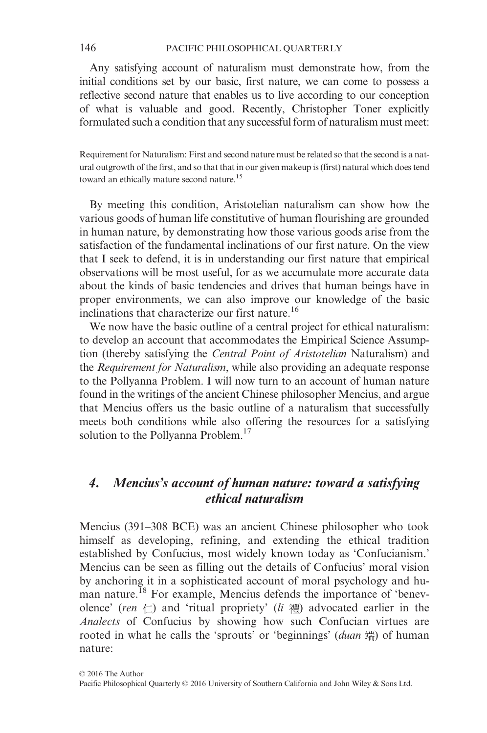Any satisfying account of naturalism must demonstrate how, from the initial conditions set by our basic, first nature, we can come to possess a reflective second nature that enables us to live according to our conception of what is valuable and good. Recently, Christopher Toner explicitly formulated such a condition that any successful form of naturalism must meet:

Requirement for Naturalism: First and second nature must be related so that the second is a natural outgrowth of the first, and so that that in our given makeup is (first) natural which does tend toward an ethically mature second nature.<sup>15</sup>

By meeting this condition, Aristotelian naturalism can show how the various goods of human life constitutive of human flourishing are grounded in human nature, by demonstrating how those various goods arise from the satisfaction of the fundamental inclinations of our first nature. On the view that I seek to defend, it is in understanding our first nature that empirical observations will be most useful, for as we accumulate more accurate data about the kinds of basic tendencies and drives that human beings have in proper environments, we can also improve our knowledge of the basic inclinations that characterize our first nature.16

We now have the basic outline of a central project for ethical naturalism: to develop an account that accommodates the Empirical Science Assumption (thereby satisfying the Central Point of Aristotelian Naturalism) and the Requirement for Naturalism, while also providing an adequate response to the Pollyanna Problem. I will now turn to an account of human nature found in the writings of the ancient Chinese philosopher Mencius, and argue that Mencius offers us the basic outline of a naturalism that successfully meets both conditions while also offering the resources for a satisfying solution to the Pollyanna Problem.<sup>17</sup>

# 4. Mencius's account of human nature: toward a satisfying ethical naturalism

Mencius (391–308 BCE) was an ancient Chinese philosopher who took himself as developing, refining, and extending the ethical tradition established by Confucius, most widely known today as 'Confucianism.' Mencius can be seen as filling out the details of Confucius' moral vision by anchoring it in a sophisticated account of moral psychology and human nature.<sup>18</sup> For example, Mencius defends the importance of 'benevolence' (ren  $\Box$ ) and 'ritual propriety' (*li*  $\ddot{\equiv}$ ) advocated earlier in the Analects of Confucius by showing how such Confucian virtues are rooted in what he calls the 'sprouts' or 'beginnings' (duan 端) of human nature: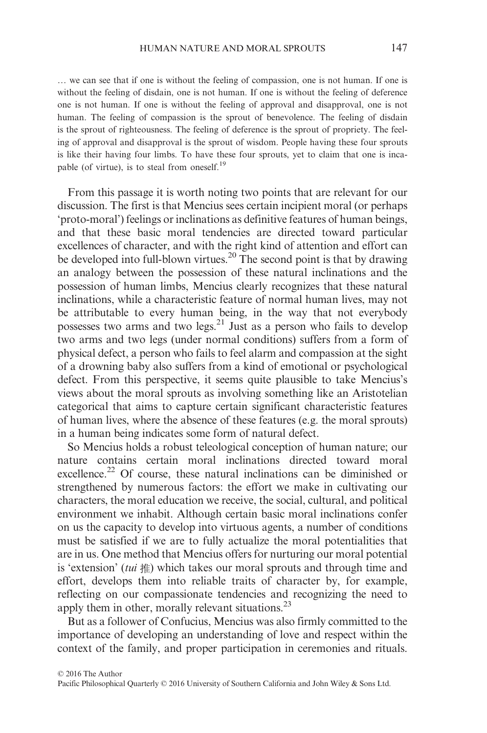… we can see that if one is without the feeling of compassion, one is not human. If one is without the feeling of disdain, one is not human. If one is without the feeling of deference one is not human. If one is without the feeling of approval and disapproval, one is not human. The feeling of compassion is the sprout of benevolence. The feeling of disdain is the sprout of righteousness. The feeling of deference is the sprout of propriety. The feeling of approval and disapproval is the sprout of wisdom. People having these four sprouts is like their having four limbs. To have these four sprouts, yet to claim that one is incapable (of virtue), is to steal from oneself.<sup>19</sup>

From this passage it is worth noting two points that are relevant for our discussion. The first is that Mencius sees certain incipient moral (or perhaps 'proto-moral') feelings or inclinations as definitive features of human beings, and that these basic moral tendencies are directed toward particular excellences of character, and with the right kind of attention and effort can be developed into full-blown virtues.<sup>20</sup> The second point is that by drawing an analogy between the possession of these natural inclinations and the possession of human limbs, Mencius clearly recognizes that these natural inclinations, while a characteristic feature of normal human lives, may not be attributable to every human being, in the way that not everybody possesses two arms and two legs.21 Just as a person who fails to develop two arms and two legs (under normal conditions) suffers from a form of physical defect, a person who fails to feel alarm and compassion at the sight of a drowning baby also suffers from a kind of emotional or psychological defect. From this perspective, it seems quite plausible to take Mencius's views about the moral sprouts as involving something like an Aristotelian categorical that aims to capture certain significant characteristic features of human lives, where the absence of these features (e.g. the moral sprouts) in a human being indicates some form of natural defect.

So Mencius holds a robust teleological conception of human nature; our nature contains certain moral inclinations directed toward moral excellence.<sup>22</sup> Of course, these natural inclinations can be diminished or strengthened by numerous factors: the effort we make in cultivating our characters, the moral education we receive, the social, cultural, and political environment we inhabit. Although certain basic moral inclinations confer on us the capacity to develop into virtuous agents, a number of conditions must be satisfied if we are to fully actualize the moral potentialities that are in us. One method that Mencius offers for nurturing our moral potential is 'extension' (tui  $\ddagger$ ) which takes our moral sprouts and through time and effort, develops them into reliable traits of character by, for example, reflecting on our compassionate tendencies and recognizing the need to apply them in other, morally relevant situations.  $2<sup>3</sup>$ 

But as a follower of Confucius, Mencius was also firmly committed to the importance of developing an understanding of love and respect within the context of the family, and proper participation in ceremonies and rituals.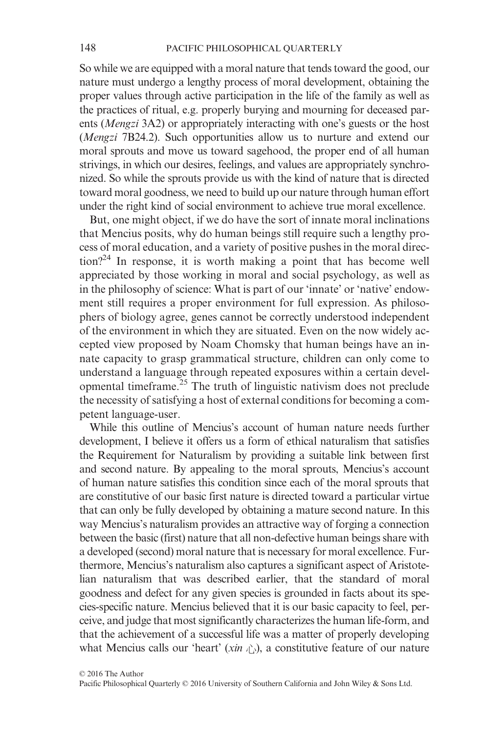So while we are equipped with a moral nature that tends toward the good, our nature must undergo a lengthy process of moral development, obtaining the proper values through active participation in the life of the family as well as the practices of ritual, e.g. properly burying and mourning for deceased parents (Mengzi 3A2) or appropriately interacting with one's guests or the host (Mengzi 7B24.2). Such opportunities allow us to nurture and extend our moral sprouts and move us toward sagehood, the proper end of all human strivings, in which our desires, feelings, and values are appropriately synchronized. So while the sprouts provide us with the kind of nature that is directed toward moral goodness, we need to build up our nature through human effort under the right kind of social environment to achieve true moral excellence.

But, one might object, if we do have the sort of innate moral inclinations that Mencius posits, why do human beings still require such a lengthy process of moral education, and a variety of positive pushes in the moral direction?24 In response, it is worth making a point that has become well appreciated by those working in moral and social psychology, as well as in the philosophy of science: What is part of our 'innate' or 'native' endowment still requires a proper environment for full expression. As philosophers of biology agree, genes cannot be correctly understood independent of the environment in which they are situated. Even on the now widely accepted view proposed by Noam Chomsky that human beings have an innate capacity to grasp grammatical structure, children can only come to understand a language through repeated exposures within a certain developmental timeframe.25 The truth of linguistic nativism does not preclude the necessity of satisfying a host of external conditions for becoming a competent language-user.

While this outline of Mencius's account of human nature needs further development, I believe it offers us a form of ethical naturalism that satisfies the Requirement for Naturalism by providing a suitable link between first and second nature. By appealing to the moral sprouts, Mencius's account of human nature satisfies this condition since each of the moral sprouts that are constitutive of our basic first nature is directed toward a particular virtue that can only be fully developed by obtaining a mature second nature. In this way Mencius's naturalism provides an attractive way of forging a connection between the basic (first) nature that all non-defective human beings share with a developed (second) moral nature that is necessary for moral excellence. Furthermore, Mencius's naturalism also captures a significant aspect of Aristotelian naturalism that was described earlier, that the standard of moral goodness and defect for any given species is grounded in facts about its species-specific nature. Mencius believed that it is our basic capacity to feel, perceive, and judge that most significantly characterizes the human life-form, and that the achievement of a successful life was a matter of properly developing what Mencius calls our 'heart' (xin  $\hat{L}$ ), a constitutive feature of our nature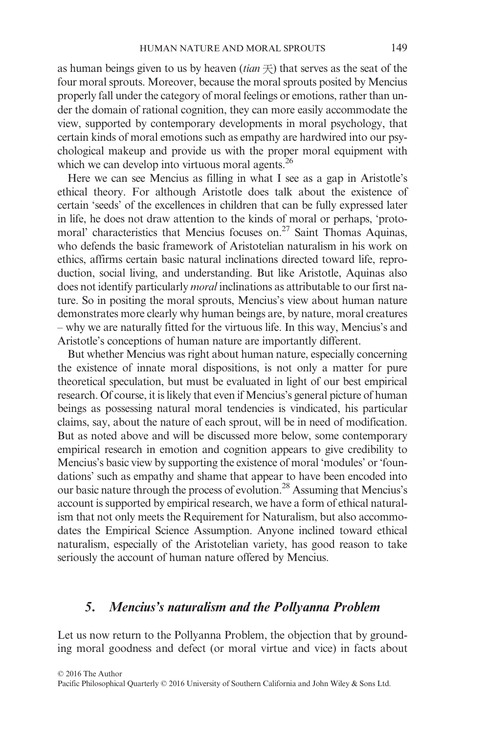as human beings given to us by heaven (tian  $\pm$ ) that serves as the seat of the four moral sprouts. Moreover, because the moral sprouts posited by Mencius properly fall under the category of moral feelings or emotions, rather than under the domain of rational cognition, they can more easily accommodate the view, supported by contemporary developments in moral psychology, that certain kinds of moral emotions such as empathy are hardwired into our psychological makeup and provide us with the proper moral equipment with which we can develop into virtuous moral agents.<sup>26</sup>

Here we can see Mencius as filling in what I see as a gap in Aristotle's ethical theory. For although Aristotle does talk about the existence of certain 'seeds' of the excellences in children that can be fully expressed later in life, he does not draw attention to the kinds of moral or perhaps, 'protomoral' characteristics that Mencius focuses on.<sup>27</sup> Saint Thomas Aquinas, who defends the basic framework of Aristotelian naturalism in his work on ethics, affirms certain basic natural inclinations directed toward life, reproduction, social living, and understanding. But like Aristotle, Aquinas also does not identify particularly moral inclinations as attributable to our first nature. So in positing the moral sprouts, Mencius's view about human nature demonstrates more clearly why human beings are, by nature, moral creatures – why we are naturally fitted for the virtuous life. In this way, Mencius's and Aristotle's conceptions of human nature are importantly different.

But whether Mencius was right about human nature, especially concerning the existence of innate moral dispositions, is not only a matter for pure theoretical speculation, but must be evaluated in light of our best empirical research. Of course, it is likely that even if Mencius's general picture of human beings as possessing natural moral tendencies is vindicated, his particular claims, say, about the nature of each sprout, will be in need of modification. But as noted above and will be discussed more below, some contemporary empirical research in emotion and cognition appears to give credibility to Mencius's basic view by supporting the existence of moral 'modules' or 'foundations' such as empathy and shame that appear to have been encoded into our basic nature through the process of evolution.28 Assuming that Mencius's account is supported by empirical research, we have a form of ethical naturalism that not only meets the Requirement for Naturalism, but also accommodates the Empirical Science Assumption. Anyone inclined toward ethical naturalism, especially of the Aristotelian variety, has good reason to take seriously the account of human nature offered by Mencius.

## 5. Mencius's naturalism and the Pollyanna Problem

Let us now return to the Pollyanna Problem, the objection that by grounding moral goodness and defect (or moral virtue and vice) in facts about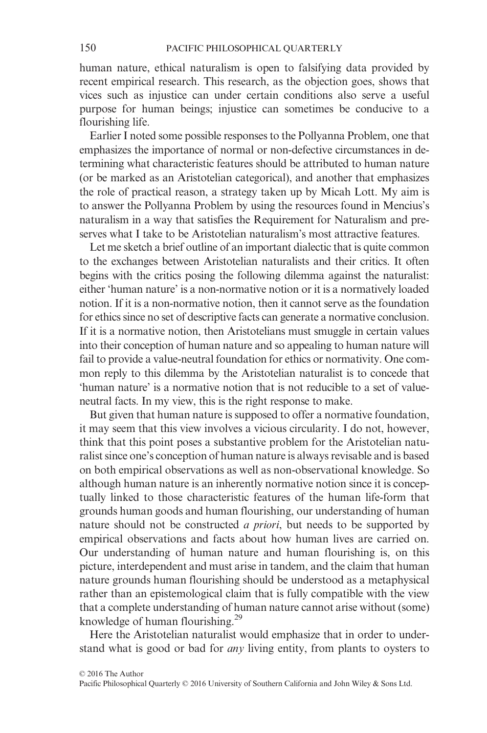human nature, ethical naturalism is open to falsifying data provided by recent empirical research. This research, as the objection goes, shows that vices such as injustice can under certain conditions also serve a useful purpose for human beings; injustice can sometimes be conducive to a flourishing life.

Earlier I noted some possible responses to the Pollyanna Problem, one that emphasizes the importance of normal or non-defective circumstances in determining what characteristic features should be attributed to human nature (or be marked as an Aristotelian categorical), and another that emphasizes the role of practical reason, a strategy taken up by Micah Lott. My aim is to answer the Pollyanna Problem by using the resources found in Mencius's naturalism in a way that satisfies the Requirement for Naturalism and preserves what I take to be Aristotelian naturalism's most attractive features.

Let me sketch a brief outline of an important dialectic that is quite common to the exchanges between Aristotelian naturalists and their critics. It often begins with the critics posing the following dilemma against the naturalist: either 'human nature' is a non-normative notion or it is a normatively loaded notion. If it is a non-normative notion, then it cannot serve as the foundation for ethics since no set of descriptive facts can generate a normative conclusion. If it is a normative notion, then Aristotelians must smuggle in certain values into their conception of human nature and so appealing to human nature will fail to provide a value-neutral foundation for ethics or normativity. One common reply to this dilemma by the Aristotelian naturalist is to concede that 'human nature' is a normative notion that is not reducible to a set of valueneutral facts. In my view, this is the right response to make.

But given that human nature is supposed to offer a normative foundation, it may seem that this view involves a vicious circularity. I do not, however, think that this point poses a substantive problem for the Aristotelian naturalist since one's conception of human nature is always revisable and is based on both empirical observations as well as non-observational knowledge. So although human nature is an inherently normative notion since it is conceptually linked to those characteristic features of the human life-form that grounds human goods and human flourishing, our understanding of human nature should not be constructed a priori, but needs to be supported by empirical observations and facts about how human lives are carried on. Our understanding of human nature and human flourishing is, on this picture, interdependent and must arise in tandem, and the claim that human nature grounds human flourishing should be understood as a metaphysical rather than an epistemological claim that is fully compatible with the view that a complete understanding of human nature cannot arise without (some) knowledge of human flourishing.29

Here the Aristotelian naturalist would emphasize that in order to understand what is good or bad for any living entity, from plants to oysters to

<sup>© 2016</sup> The Author

Pacific Philosophical Quarterly © 2016 University of Southern California and John Wiley & Sons Ltd.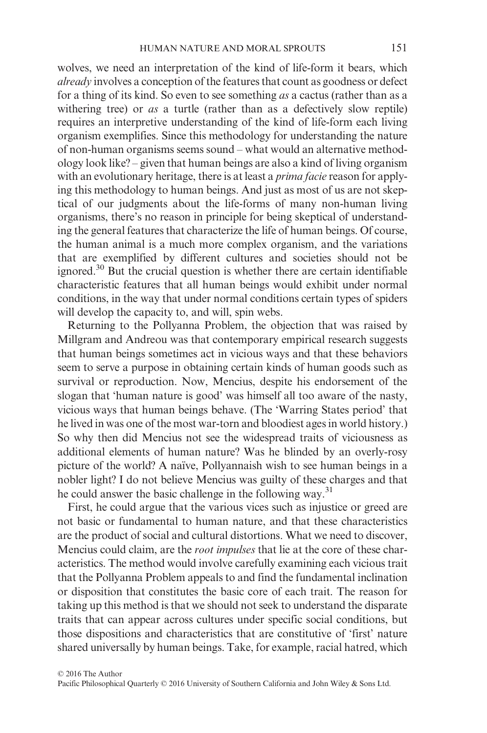wolves, we need an interpretation of the kind of life-form it bears, which already involves a conception of the features that count as goodness or defect for a thing of its kind. So even to see something as a cactus (rather than as a withering tree) or *as* a turtle (rather than as a defectively slow reptile) requires an interpretive understanding of the kind of life-form each living organism exemplifies. Since this methodology for understanding the nature of non-human organisms seems sound – what would an alternative methodology look like? – given that human beings are also a kind of living organism with an evolutionary heritage, there is at least a *prima facie* reason for applying this methodology to human beings. And just as most of us are not skeptical of our judgments about the life-forms of many non-human living organisms, there's no reason in principle for being skeptical of understanding the general features that characterize the life of human beings. Of course, the human animal is a much more complex organism, and the variations that are exemplified by different cultures and societies should not be ignored.30 But the crucial question is whether there are certain identifiable characteristic features that all human beings would exhibit under normal conditions, in the way that under normal conditions certain types of spiders will develop the capacity to, and will, spin webs.

Returning to the Pollyanna Problem, the objection that was raised by Millgram and Andreou was that contemporary empirical research suggests that human beings sometimes act in vicious ways and that these behaviors seem to serve a purpose in obtaining certain kinds of human goods such as survival or reproduction. Now, Mencius, despite his endorsement of the slogan that 'human nature is good' was himself all too aware of the nasty, vicious ways that human beings behave. (The 'Warring States period' that he lived in was one of the most war-torn and bloodiest ages in world history.) So why then did Mencius not see the widespread traits of viciousness as additional elements of human nature? Was he blinded by an overly-rosy picture of the world? A naïve, Pollyannaish wish to see human beings in a nobler light? I do not believe Mencius was guilty of these charges and that he could answer the basic challenge in the following way.<sup>31</sup>

First, he could argue that the various vices such as injustice or greed are not basic or fundamental to human nature, and that these characteristics are the product of social and cultural distortions. What we need to discover, Mencius could claim, are the root impulses that lie at the core of these characteristics. The method would involve carefully examining each vicious trait that the Pollyanna Problem appeals to and find the fundamental inclination or disposition that constitutes the basic core of each trait. The reason for taking up this method is that we should not seek to understand the disparate traits that can appear across cultures under specific social conditions, but those dispositions and characteristics that are constitutive of 'first' nature shared universally by human beings. Take, for example, racial hatred, which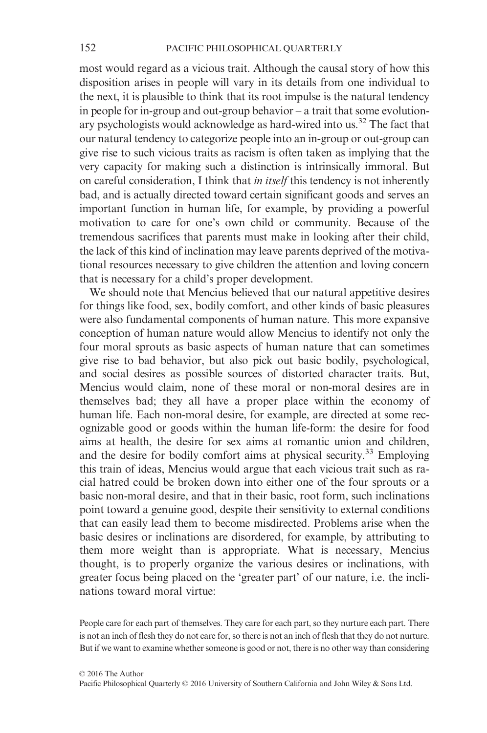most would regard as a vicious trait. Although the causal story of how this disposition arises in people will vary in its details from one individual to the next, it is plausible to think that its root impulse is the natural tendency in people for in-group and out-group behavior – a trait that some evolutionary psychologists would acknowledge as hard-wired into us.32 The fact that our natural tendency to categorize people into an in-group or out-group can give rise to such vicious traits as racism is often taken as implying that the very capacity for making such a distinction is intrinsically immoral. But on careful consideration, I think that in itself this tendency is not inherently bad, and is actually directed toward certain significant goods and serves an important function in human life, for example, by providing a powerful motivation to care for one's own child or community. Because of the tremendous sacrifices that parents must make in looking after their child, the lack of this kind of inclination may leave parents deprived of the motivational resources necessary to give children the attention and loving concern that is necessary for a child's proper development.

We should note that Mencius believed that our natural appetitive desires for things like food, sex, bodily comfort, and other kinds of basic pleasures were also fundamental components of human nature. This more expansive conception of human nature would allow Mencius to identify not only the four moral sprouts as basic aspects of human nature that can sometimes give rise to bad behavior, but also pick out basic bodily, psychological, and social desires as possible sources of distorted character traits. But, Mencius would claim, none of these moral or non-moral desires are in themselves bad; they all have a proper place within the economy of human life. Each non-moral desire, for example, are directed at some recognizable good or goods within the human life-form: the desire for food aims at health, the desire for sex aims at romantic union and children, and the desire for bodily comfort aims at physical security.<sup>33</sup> Employing this train of ideas, Mencius would argue that each vicious trait such as racial hatred could be broken down into either one of the four sprouts or a basic non-moral desire, and that in their basic, root form, such inclinations point toward a genuine good, despite their sensitivity to external conditions that can easily lead them to become misdirected. Problems arise when the basic desires or inclinations are disordered, for example, by attributing to them more weight than is appropriate. What is necessary, Mencius thought, is to properly organize the various desires or inclinations, with greater focus being placed on the 'greater part' of our nature, i.e. the inclinations toward moral virtue:

People care for each part of themselves. They care for each part, so they nurture each part. There is not an inch of flesh they do not care for, so there is not an inch of flesh that they do not nurture. But if we want to examine whether someone is good or not, there is no other way than considering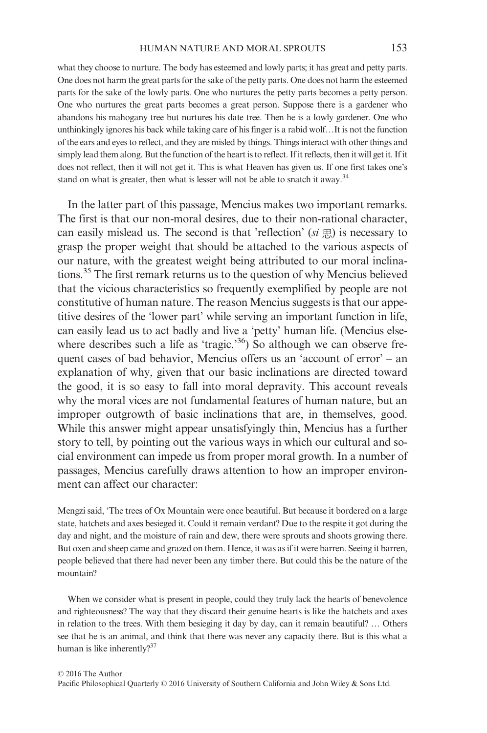what they choose to nurture. The body has esteemed and lowly parts; it has great and petty parts. One does not harm the great parts for the sake of the petty parts. One does not harm the esteemed parts for the sake of the lowly parts. One who nurtures the petty parts becomes a petty person. One who nurtures the great parts becomes a great person. Suppose there is a gardener who abandons his mahogany tree but nurtures his date tree. Then he is a lowly gardener. One who unthinkingly ignores his back while taking care of his finger is a rabid wolf…It is not the function of the ears and eyes to reflect, and they are misled by things. Things interact with other things and simply lead them along. But the function of the heart is to reflect. If it reflects, then it will get it. If it does not reflect, then it will not get it. This is what Heaven has given us. If one first takes one's stand on what is greater, then what is lesser will not be able to snatch it away.<sup>34</sup>

In the latter part of this passage, Mencius makes two important remarks. The first is that our non-moral desires, due to their non-rational character, can easily mislead us. The second is that 'reflection'  $(ii \#)$  is necessary to grasp the proper weight that should be attached to the various aspects of our nature, with the greatest weight being attributed to our moral inclinations.35 The first remark returns us to the question of why Mencius believed that the vicious characteristics so frequently exemplified by people are not constitutive of human nature. The reason Mencius suggests is that our appetitive desires of the 'lower part' while serving an important function in life, can easily lead us to act badly and live a 'petty' human life. (Mencius elsewhere describes such a life as 'tragic.'<sup>36</sup>) So although we can observe frequent cases of bad behavior, Mencius offers us an 'account of error' – an explanation of why, given that our basic inclinations are directed toward the good, it is so easy to fall into moral depravity. This account reveals why the moral vices are not fundamental features of human nature, but an improper outgrowth of basic inclinations that are, in themselves, good. While this answer might appear unsatisfyingly thin, Mencius has a further story to tell, by pointing out the various ways in which our cultural and social environment can impede us from proper moral growth. In a number of passages, Mencius carefully draws attention to how an improper environment can affect our character:

Mengzi said, 'The trees of Ox Mountain were once beautiful. But because it bordered on a large state, hatchets and axes besieged it. Could it remain verdant? Due to the respite it got during the day and night, and the moisture of rain and dew, there were sprouts and shoots growing there. But oxen and sheep came and grazed on them. Hence, it was as if it were barren. Seeing it barren, people believed that there had never been any timber there. But could this be the nature of the mountain?

When we consider what is present in people, could they truly lack the hearts of benevolence and righteousness? The way that they discard their genuine hearts is like the hatchets and axes in relation to the trees. With them besieging it day by day, can it remain beautiful? … Others see that he is an animal, and think that there was never any capacity there. But is this what a human is like inherently?<sup>37</sup>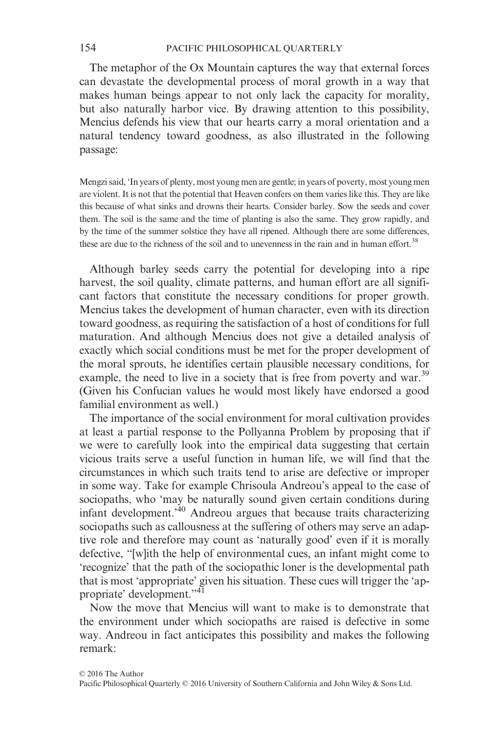The metaphor of the Ox Mountain captures the way that external forces can devastate the developmental process of moral growth in a way that makes human beings appear to not only lack the capacity for morality, but also naturally harbor vice. By drawing attention to this possibility, Mencius defends his view that our hearts carry a moral orientation and a natural tendency toward goodness, as also illustrated in the following passage:

Mengzi said, 'In years of plenty, most young men are gentle; in years of poverty, most young men are violent. It is not that the potential that Heaven confers on them varies like this. They are like this because of what sinks and drowns their hearts. Consider barley. Sow the seeds and cover them. The soil is the same and the time of planting is also the same. They grow rapidly, and by the time of the summer solstice they have all ripened. Although there are some differences, these are due to the richness of the soil and to unevenness in the rain and in human effort.<sup>38</sup>

Although barley seeds carry the potential for developing into a ripe harvest, the soil quality, climate patterns, and human effort are all significant factors that constitute the necessary conditions for proper growth. Mencius takes the development of human character, even with its direction toward goodness, as requiring the satisfaction of a host of conditions for full maturation. And although Mencius does not give a detailed analysis of exactly which social conditions must be met for the proper development of the moral sprouts, he identifies certain plausible necessary conditions, for example, the need to live in a society that is free from poverty and war.<sup>39</sup> (Given his Confucian values he would most likely have endorsed a good familial environment as well.)

The importance of the social environment for moral cultivation provides at least a partial response to the Pollyanna Problem by proposing that if we were to carefully look into the empirical data suggesting that certain vicious traits serve a useful function in human life, we will find that the circumstances in which such traits tend to arise are defective or improper in some way. Take for example Chrisoula Andreou's appeal to the case of sociopaths, who 'may be naturally sound given certain conditions during infant development.<sup>40</sup> Andreou argues that because traits characterizing sociopaths such as callousness at the suffering of others may serve an adaptive role and therefore may count as 'naturally good' even if it is morally defective, "[w]ith the help of environmental cues, an infant might come to 'recognize' that the path of the sociopathic loner is the developmental path that is most 'appropriate' given his situation. These cues will trigger the 'appropriate' development."<sup>41</sup>

Now the move that Mencius will want to make is to demonstrate that the environment under which sociopaths are raised is defective in some way. Andreou in fact anticipates this possibility and makes the following remark:

Pacific Philosophical Quarterly © 2016 University of Southern California and John Wiley & Sons Ltd.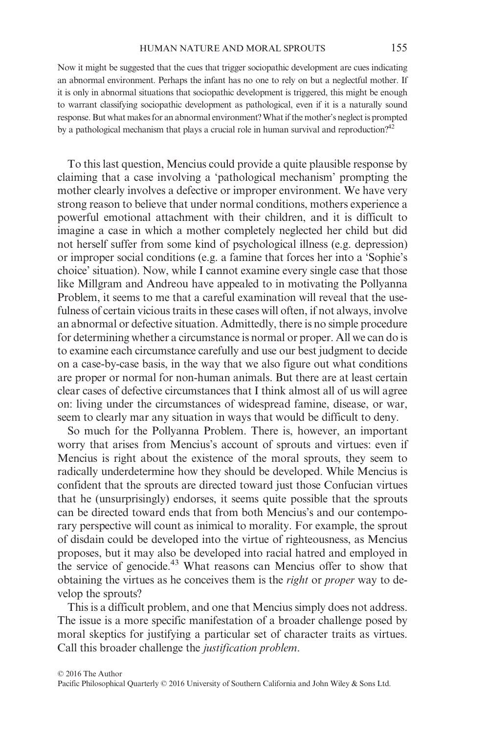Now it might be suggested that the cues that trigger sociopathic development are cues indicating an abnormal environment. Perhaps the infant has no one to rely on but a neglectful mother. If it is only in abnormal situations that sociopathic development is triggered, this might be enough to warrant classifying sociopathic development as pathological, even if it is a naturally sound response. But what makes for an abnormal environment? What if the mother's neglect is prompted by a pathological mechanism that plays a crucial role in human survival and reproduction?<sup>42</sup>

To this last question, Mencius could provide a quite plausible response by claiming that a case involving a 'pathological mechanism' prompting the mother clearly involves a defective or improper environment. We have very strong reason to believe that under normal conditions, mothers experience a powerful emotional attachment with their children, and it is difficult to imagine a case in which a mother completely neglected her child but did not herself suffer from some kind of psychological illness (e.g. depression) or improper social conditions (e.g. a famine that forces her into a 'Sophie's choice' situation). Now, while I cannot examine every single case that those like Millgram and Andreou have appealed to in motivating the Pollyanna Problem, it seems to me that a careful examination will reveal that the usefulness of certain vicious traits in these cases will often, if not always, involve an abnormal or defective situation. Admittedly, there is no simple procedure for determining whether a circumstance is normal or proper. All we can do is to examine each circumstance carefully and use our best judgment to decide on a case-by-case basis, in the way that we also figure out what conditions are proper or normal for non-human animals. But there are at least certain clear cases of defective circumstances that I think almost all of us will agree on: living under the circumstances of widespread famine, disease, or war, seem to clearly mar any situation in ways that would be difficult to deny.

So much for the Pollyanna Problem. There is, however, an important worry that arises from Mencius's account of sprouts and virtues: even if Mencius is right about the existence of the moral sprouts, they seem to radically underdetermine how they should be developed. While Mencius is confident that the sprouts are directed toward just those Confucian virtues that he (unsurprisingly) endorses, it seems quite possible that the sprouts can be directed toward ends that from both Mencius's and our contemporary perspective will count as inimical to morality. For example, the sprout of disdain could be developed into the virtue of righteousness, as Mencius proposes, but it may also be developed into racial hatred and employed in the service of genocide.<sup>43</sup> What reasons can Mencius offer to show that obtaining the virtues as he conceives them is the right or proper way to develop the sprouts?

This is a difficult problem, and one that Mencius simply does not address. The issue is a more specific manifestation of a broader challenge posed by moral skeptics for justifying a particular set of character traits as virtues. Call this broader challenge the justification problem.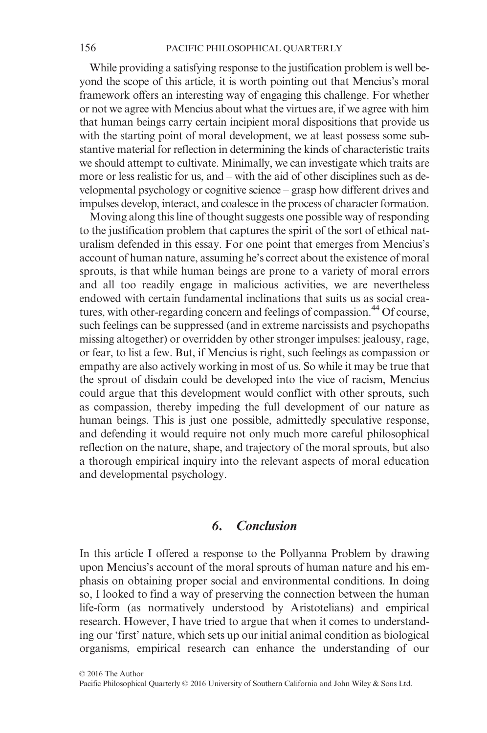While providing a satisfying response to the justification problem is well beyond the scope of this article, it is worth pointing out that Mencius's moral framework offers an interesting way of engaging this challenge. For whether or not we agree with Mencius about what the virtues are, if we agree with him that human beings carry certain incipient moral dispositions that provide us with the starting point of moral development, we at least possess some substantive material for reflection in determining the kinds of characteristic traits we should attempt to cultivate. Minimally, we can investigate which traits are more or less realistic for us, and – with the aid of other disciplines such as developmental psychology or cognitive science – grasp how different drives and impulses develop, interact, and coalesce in the process of character formation.

Moving along this line of thought suggests one possible way of responding to the justification problem that captures the spirit of the sort of ethical naturalism defended in this essay. For one point that emerges from Mencius's account of human nature, assuming he's correct about the existence of moral sprouts, is that while human beings are prone to a variety of moral errors and all too readily engage in malicious activities, we are nevertheless endowed with certain fundamental inclinations that suits us as social creatures, with other-regarding concern and feelings of compassion.<sup>44</sup> Of course, such feelings can be suppressed (and in extreme narcissists and psychopaths missing altogether) or overridden by other stronger impulses: jealousy, rage, or fear, to list a few. But, if Mencius is right, such feelings as compassion or empathy are also actively working in most of us. So while it may be true that the sprout of disdain could be developed into the vice of racism, Mencius could argue that this development would conflict with other sprouts, such as compassion, thereby impeding the full development of our nature as human beings. This is just one possible, admittedly speculative response, and defending it would require not only much more careful philosophical reflection on the nature, shape, and trajectory of the moral sprouts, but also a thorough empirical inquiry into the relevant aspects of moral education and developmental psychology.

## 6. Conclusion

In this article I offered a response to the Pollyanna Problem by drawing upon Mencius's account of the moral sprouts of human nature and his emphasis on obtaining proper social and environmental conditions. In doing so, I looked to find a way of preserving the connection between the human life-form (as normatively understood by Aristotelians) and empirical research. However, I have tried to argue that when it comes to understanding our 'first' nature, which sets up our initial animal condition as biological organisms, empirical research can enhance the understanding of our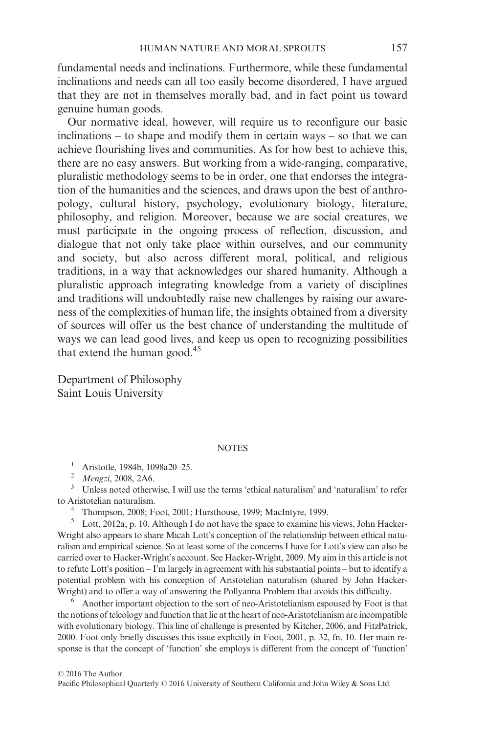fundamental needs and inclinations. Furthermore, while these fundamental inclinations and needs can all too easily become disordered, I have argued that they are not in themselves morally bad, and in fact point us toward genuine human goods.

Our normative ideal, however, will require us to reconfigure our basic inclinations – to shape and modify them in certain ways – so that we can achieve flourishing lives and communities. As for how best to achieve this, there are no easy answers. But working from a wide-ranging, comparative, pluralistic methodology seems to be in order, one that endorses the integration of the humanities and the sciences, and draws upon the best of anthropology, cultural history, psychology, evolutionary biology, literature, philosophy, and religion. Moreover, because we are social creatures, we must participate in the ongoing process of reflection, discussion, and dialogue that not only take place within ourselves, and our community and society, but also across different moral, political, and religious traditions, in a way that acknowledges our shared humanity. Although a pluralistic approach integrating knowledge from a variety of disciplines and traditions will undoubtedly raise new challenges by raising our awareness of the complexities of human life, the insights obtained from a diversity of sources will offer us the best chance of understanding the multitude of ways we can lead good lives, and keep us open to recognizing possibilities that extend the human good. $45$ 

Department of Philosophy Saint Louis University

#### **NOTES**

<sup>1</sup> Aristotle, 1984b, 1098a20–25. <sup>2</sup> Mengzi, 2008, 2A6.

<sup>3</sup> Unless noted otherwise, I will use the terms 'ethical naturalism' and 'naturalism' to refer to Aristotelian naturalism. <sup>4</sup> Thompson, 2008; Foot, 2001; Hursthouse, 1999; MacIntyre, 1999.

<sup>5</sup> Lott, 2012a, p. 10. Although I do not have the space to examine his views, John Hacker-Wright also appears to share Micah Lott's conception of the relationship between ethical naturalism and empirical science. So at least some of the concerns I have for Lott's view can also be carried over to Hacker-Wright's account. See Hacker-Wright, 2009. My aim in this article is not to refute Lott's position – I'm largely in agreement with his substantial points – but to identify a potential problem with his conception of Aristotelian naturalism (shared by John Hacker-Wright) and to offer a way of answering the Pollyanna Problem that avoids this difficulty.

<sup>6</sup> Another important objection to the sort of neo-Aristotelianism espoused by Foot is that the notions of teleology and function that lie at the heart of neo-Aristotelianism are incompatible with evolutionary biology. This line of challenge is presented by Kitcher, 2006, and FitzPatrick, 2000. Foot only briefly discusses this issue explicitly in Foot, 2001, p. 32, fn. 10. Her main response is that the concept of 'function' she employs is different from the concept of 'function'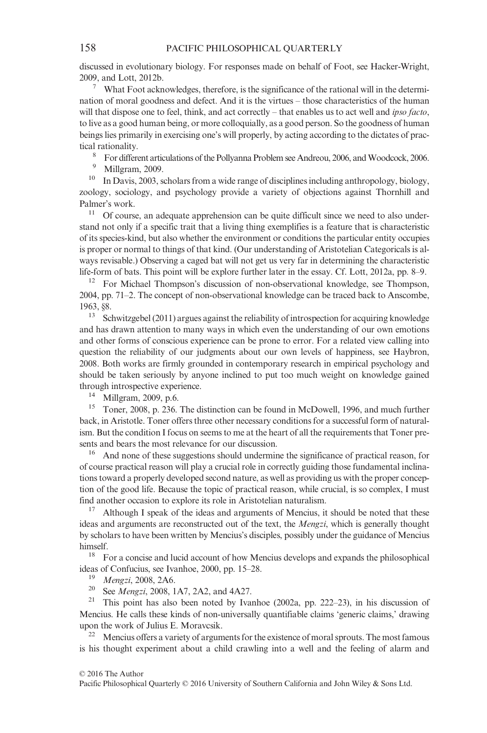discussed in evolutionary biology. For responses made on behalf of Foot, see Hacker-Wright, 2009, and Lott, 2012b.

What Foot acknowledges, therefore, is the significance of the rational will in the determination of moral goodness and defect. And it is the virtues – those characteristics of the human will that dispose one to feel, think, and act correctly – that enables us to act well and *ipso facto*, to live as a good human being, or more colloquially, as a good person. So the goodness of human beings lies primarily in exercising one's will properly, by acting according to the dictates of practical rationality.

<sup>8</sup> For different articulations of the Pollyanna Problem see Andreou, 2006, and Woodcock, 2006.<br><sup>9</sup> Mill agent, 2000.

<sup>9</sup> Millgram, 2009.<br><sup>10</sup> In Davis, 2003. s

<sup>10</sup> In Davis, 2003, scholars from a wide range of disciplines including anthropology, biology, zoology, sociology, and psychology provide a variety of objections against Thornhill and Palmer's work.

 $11$  Of course, an adequate apprehension can be quite difficult since we need to also understand not only if a specific trait that a living thing exemplifies is a feature that is characteristic of its species-kind, but also whether the environment or conditions the particular entity occupies is proper or normal to things of that kind. (Our understanding of Aristotelian Categoricals is always revisable.) Observing a caged bat will not get us very far in determining the characteristic life-form of bats. This point will be explore further later in the essay. Cf. Lott, 2012a, pp. 8–9.

<sup>12</sup> For Michael Thompson's discussion of non-observational knowledge, see Thompson, 2004, pp. 71–2. The concept of non-observational knowledge can be traced back to Anscombe, 1963, §8.

<sup>13</sup> Schwitzgebel (2011) argues against the reliability of introspection for acquiring knowledge and has drawn attention to many ways in which even the understanding of our own emotions and other forms of conscious experience can be prone to error. For a related view calling into question the reliability of our judgments about our own levels of happiness, see Haybron, 2008. Both works are firmly grounded in contemporary research in empirical psychology and should be taken seriously by anyone inclined to put too much weight on knowledge gained through introspective experience.

<sup>14</sup> Millgram, 2009, p.6.

<sup>15</sup> Toner, 2008, p. 236. The distinction can be found in McDowell, 1996, and much further back, in Aristotle. Toner offers three other necessary conditions for a successful form of naturalism. But the condition I focus on seems to me at the heart of all the requirements that Toner presents and bears the most relevance for our discussion.<br> $^{16}$  And none of these suggestions should undermin

<sup>16</sup> And none of these suggestions should undermine the significance of practical reason, for of course practical reason will play a crucial role in correctly guiding those fundamental inclinations toward a properly developed second nature, as well as providing us with the proper conception of the good life. Because the topic of practical reason, while crucial, is so complex, I must find another occasion to explore its role in Aristotelian naturalism.

<sup>17</sup> Although I speak of the ideas and arguments of Mencius, it should be noted that these ideas and arguments are reconstructed out of the text, the Mengzi, which is generally thought by scholars to have been written by Mencius's disciples, possibly under the guidance of Mencius himself.

<sup>18</sup> For a concise and lucid account of how Mencius develops and expands the philosophical ideas of Confucius, see Ivanhoe, 2000, pp. 15–28.

 $^{19}$  Mengzi, 2008, 2A6.<br><sup>20</sup> See Mengzi 2008, 1

<sup>20</sup> See *Mengzi*, 2008, 1A7, 2A2, and 4A27.<br><sup>21</sup> This point has also been noted by Ivanhoe (2002a, pp. 222–23), in his discussion of Mencius. He calls these kinds of non-universally quantifiable claims 'generic claims,' drawing upon the work of Julius E. Moravcsik.

<sup>22</sup> Mencius offers a variety of arguments for the existence of moral sprouts. The most famous is his thought experiment about a child crawling into a well and the feeling of alarm and

Pacific Philosophical Quarterly © 2016 University of Southern California and John Wiley & Sons Ltd.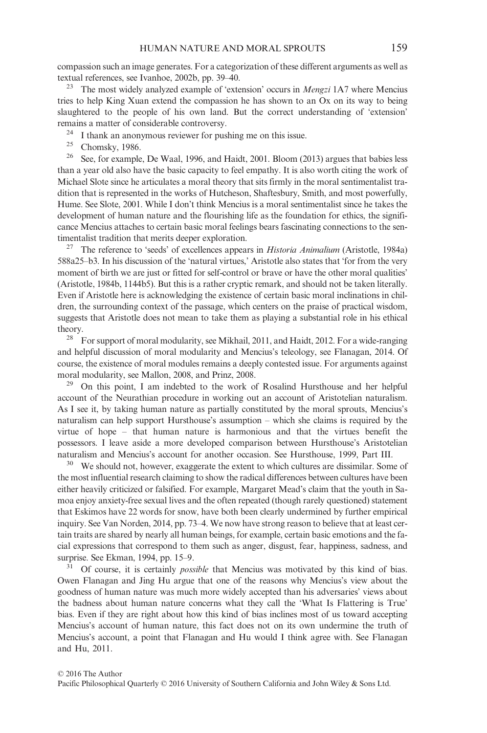compassion such an image generates. For a categorization of these different arguments as well as textual references, see Ivanhoe, 2002b, pp. 39–40.

<sup>23</sup> The most widely analyzed example of 'extension' occurs in *Mengzi* 1A7 where Mencius tries to help King Xuan extend the compassion he has shown to an Ox on its way to being slaughtered to the people of his own land. But the correct understanding of 'extension' remains a matter of considerable controversy.

- <sup>24</sup> I thank an anonymous reviewer for pushing me on this issue.<br><sup>25</sup> Chamelay, 1086
- $^{25}$  Chomsky, 1986.

<sup>26</sup> See, for example, De Waal, 1996, and Haidt, 2001. Bloom (2013) argues that babies less than a year old also have the basic capacity to feel empathy. It is also worth citing the work of Michael Slote since he articulates a moral theory that sits firmly in the moral sentimentalist tradition that is represented in the works of Hutcheson, Shaftesbury, Smith, and most powerfully, Hume. See Slote, 2001. While I don't think Mencius is a moral sentimentalist since he takes the development of human nature and the flourishing life as the foundation for ethics, the significance Mencius attaches to certain basic moral feelings bears fascinating connections to the sentimentalist tradition that merits deeper exploration.<br> $\frac{27}{\pi}$  The reference to 'seeds' of excellences annear

The reference to 'seeds' of excellences appears in *Historia Animalium* (Aristotle, 1984a) 588a25–b3. In his discussion of the 'natural virtues,' Aristotle also states that 'for from the very moment of birth we are just or fitted for self-control or brave or have the other moral qualities' (Aristotle, 1984b, 1144b5). But this is a rather cryptic remark, and should not be taken literally. Even if Aristotle here is acknowledging the existence of certain basic moral inclinations in children, the surrounding context of the passage, which centers on the praise of practical wisdom, suggests that Aristotle does not mean to take them as playing a substantial role in his ethical theory.

<sup>28</sup> For support of moral modularity, see Mikhail, 2011, and Haidt, 2012. For a wide-ranging and helpful discussion of moral modularity and Mencius's teleology, see Flanagan, 2014. Of course, the existence of moral modules remains a deeply contested issue. For arguments against moral modularity, see Mallon, 2008, and Prinz, 2008.

 $29$  On this point, I am indebted to the work of Rosalind Hursthouse and her helpful account of the Neurathian procedure in working out an account of Aristotelian naturalism. As I see it, by taking human nature as partially constituted by the moral sprouts, Mencius's naturalism can help support Hursthouse's assumption – which she claims is required by the virtue of hope – that human nature is harmonious and that the virtues benefit the possessors. I leave aside a more developed comparison between Hursthouse's Aristotelian naturalism and Mencius's account for another occasion. See Hursthouse, 1999, Part III.

 $30\,$  We should not, however, exaggerate the extent to which cultures are dissimilar. Some of the most influential research claiming to show the radical differences between cultures have been either heavily criticized or falsified. For example, Margaret Mead's claim that the youth in Samoa enjoy anxiety-free sexual lives and the often repeated (though rarely questioned) statement that Eskimos have 22 words for snow, have both been clearly undermined by further empirical inquiry. See Van Norden, 2014, pp. 73–4. We now have strong reason to believe that at least certain traits are shared by nearly all human beings, for example, certain basic emotions and the facial expressions that correspond to them such as anger, disgust, fear, happiness, sadness, and surprise. See Ekman, 1994, pp. 15–9.

<sup>31</sup> Of course, it is certainly *possible* that Mencius was motivated by this kind of bias. Owen Flanagan and Jing Hu argue that one of the reasons why Mencius's view about the goodness of human nature was much more widely accepted than his adversaries' views about the badness about human nature concerns what they call the 'What Is Flattering is True' bias. Even if they are right about how this kind of bias inclines most of us toward accepting Mencius's account of human nature, this fact does not on its own undermine the truth of Mencius's account, a point that Flanagan and Hu would I think agree with. See Flanagan and Hu, 2011.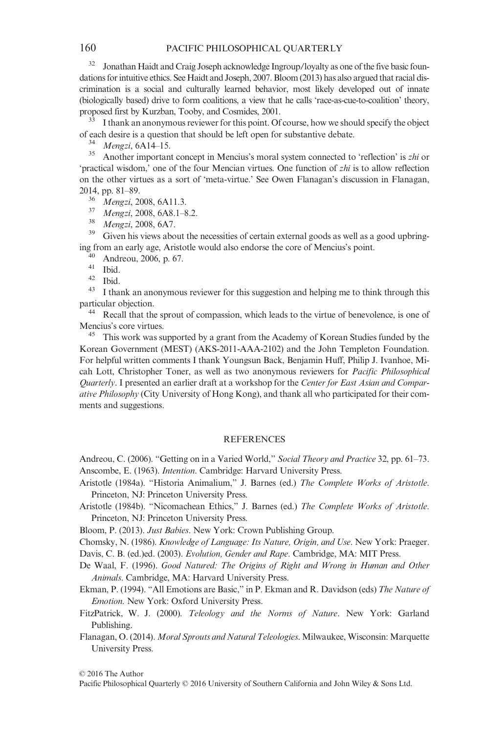<sup>32</sup> Jonathan Haidt and Craig Joseph acknowledge Ingroup/loyalty as one of the five basic foundations for intuitive ethics. See Haidt and Joseph, 2007. Bloom (2013) has also argued that racial discrimination is a social and culturally learned behavior, most likely developed out of innate (biologically based) drive to form coalitions, a view that he calls 'race-as-cue-to-coalition' theory, proposed first by Kurzban, Tooby, and Cosmides, 2001.

I thank an anonymous reviewer for this point. Of course, how we should specify the object of each desire is a question that should be left open for substantive debate.<br> $34 \cdot M_{\text{max}}$  6.14.15

 $^{34}$  Mengzi, 6A14–15.

Another important concept in Mencius's moral system connected to 'reflection' is zhi or 'practical wisdom,' one of the four Mencian virtues. One function of zhi is to allow reflection on the other virtues as a sort of 'meta-virtue.' See Owen Flanagan's discussion in Flanagan, 2014, pp. 81–89.

<sup>36</sup> Mengzi, 2008, 6A11.3.

<sup>37</sup> Mengzi, 2008, 6A8.1–8.2. <sup>38</sup> Mengzi, 2008, 6A7.

<sup>39</sup> Given his views about the necessities of certain external goods as well as a good upbringing from an early age, Aristotle would also endorse the core of Mencius's point.

 $^{40}$  Andreou, 2006, p. 67.<br> $^{41}$  Ibid

 $42$  Ibid.

<sup>43</sup> I thank an anonymous reviewer for this suggestion and helping me to think through this particular objection.

<sup>44</sup> Recall that the sprout of compassion, which leads to the virtue of benevolence, is one of Mencius's core virtues.<br><sup>45</sup> This work was supported by a grant from the Academy of Korean Studies funded by the

Korean Government (MEST) (AKS-2011-AAA-2102) and the John Templeton Foundation. For helpful written comments I thank Youngsun Back, Benjamin Huff, Philip J. Ivanhoe, Micah Lott, Christopher Toner, as well as two anonymous reviewers for Pacific Philosophical Quarterly. I presented an earlier draft at a workshop for the Center for East Asian and Comparative Philosophy (City University of Hong Kong), and thank all who participated for their comments and suggestions.

#### REFERENCES

Andreou, C. (2006). "Getting on in a Varied World," Social Theory and Practice 32, pp. 61–73. Anscombe, E. (1963). Intention. Cambridge: Harvard University Press.

Aristotle (1984a). "Historia Animalium," J. Barnes (ed.) The Complete Works of Aristotle. Princeton, NJ: Princeton University Press.

Aristotle (1984b). "Nicomachean Ethics," J. Barnes (ed.) The Complete Works of Aristotle. Princeton, NJ: Princeton University Press.

Bloom, P. (2013). Just Babies. New York: Crown Publishing Group.

Chomsky, N. (1986). Knowledge of Language: Its Nature, Origin, and Use. New York: Praeger.

Davis, C. B. (ed.)ed. (2003). Evolution, Gender and Rape. Cambridge, MA: MIT Press.

De Waal, F. (1996). Good Natured: The Origins of Right and Wrong in Human and Other Animals. Cambridge, MA: Harvard University Press.

Ekman, P. (1994). "All Emotions are Basic," in P. Ekman and R. Davidson (eds) The Nature of Emotion. New York: Oxford University Press.

FitzPatrick, W. J. (2000). Teleology and the Norms of Nature. New York: Garland Publishing.

Flanagan, O. (2014). Moral Sprouts and Natural Teleologies. Milwaukee, Wisconsin: Marquette University Press.

© 2016 The Author

Pacific Philosophical Quarterly © 2016 University of Southern California and John Wiley & Sons Ltd.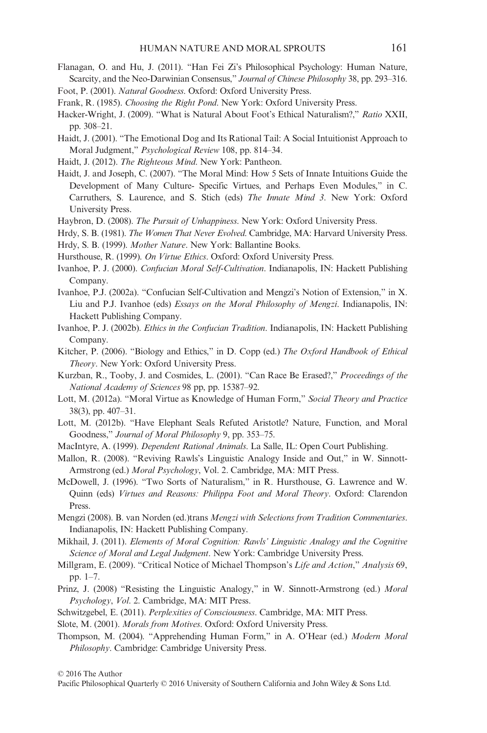- Flanagan, O. and Hu, J. (2011). "Han Fei Zi's Philosophical Psychology: Human Nature, Scarcity, and the Neo-Darwinian Consensus," Journal of Chinese Philosophy 38, pp. 293–316. Foot, P. (2001). Natural Goodness. Oxford: Oxford University Press.
- Frank, R. (1985). Choosing the Right Pond. New York: Oxford University Press.
- Hacker-Wright, J. (2009). "What is Natural About Foot's Ethical Naturalism?," Ratio XXII, pp. 308–21.
- Haidt, J. (2001). "The Emotional Dog and Its Rational Tail: A Social Intuitionist Approach to Moral Judgment," Psychological Review 108, pp. 814–34.
- Haidt, J. (2012). The Righteous Mind. New York: Pantheon.
- Haidt, J. and Joseph, C. (2007). "The Moral Mind: How 5 Sets of Innate Intuitions Guide the Development of Many Culture- Specific Virtues, and Perhaps Even Modules," in C. Carruthers, S. Laurence, and S. Stich (eds) The Innate Mind 3. New York: Oxford University Press.
- Haybron, D. (2008). The Pursuit of Unhappiness. New York: Oxford University Press.
- Hrdy, S. B. (1981). The Women That Never Evolved. Cambridge, MA: Harvard University Press. Hrdy, S. B. (1999). Mother Nature. New York: Ballantine Books.
- Hursthouse, R. (1999). On Virtue Ethics. Oxford: Oxford University Press.
- Ivanhoe, P. J. (2000). Confucian Moral Self-Cultivation. Indianapolis, IN: Hackett Publishing Company.
- Ivanhoe, P.J. (2002a). "Confucian Self-Cultivation and Mengzi's Notion of Extension," in X. Liu and P.J. Ivanhoe (eds) Essays on the Moral Philosophy of Mengzi. Indianapolis, IN: Hackett Publishing Company.
- Ivanhoe, P. J. (2002b). Ethics in the Confucian Tradition. Indianapolis, IN: Hackett Publishing Company.
- Kitcher, P. (2006). "Biology and Ethics," in D. Copp (ed.) The Oxford Handbook of Ethical Theory. New York: Oxford University Press.
- Kurzban, R., Tooby, J. and Cosmides, L. (2001). "Can Race Be Erased?," Proceedings of the National Academy of Sciences 98 pp, pp. 15387–92.
- Lott, M. (2012a). "Moral Virtue as Knowledge of Human Form," Social Theory and Practice 38(3), pp. 407–31.
- Lott, M. (2012b). "Have Elephant Seals Refuted Aristotle? Nature, Function, and Moral Goodness," Journal of Moral Philosophy 9, pp. 353–75.
- MacIntyre, A. (1999). Dependent Rational Animals. La Salle, IL: Open Court Publishing.
- Mallon, R. (2008). "Reviving Rawls's Linguistic Analogy Inside and Out," in W. Sinnott-Armstrong (ed.) Moral Psychology, Vol. 2. Cambridge, MA: MIT Press.
- McDowell, J. (1996). "Two Sorts of Naturalism," in R. Hursthouse, G. Lawrence and W. Quinn (eds) Virtues and Reasons: Philippa Foot and Moral Theory. Oxford: Clarendon Press.
- Mengzi (2008). B. van Norden (ed.)trans Mengzi with Selections from Tradition Commentaries. Indianapolis, IN: Hackett Publishing Company.
- Mikhail, J. (2011). Elements of Moral Cognition: Rawls' Linguistic Analogy and the Cognitive Science of Moral and Legal Judgment. New York: Cambridge University Press.
- Millgram, E. (2009). "Critical Notice of Michael Thompson's Life and Action," Analysis 69, pp. 1–7.
- Prinz, J. (2008) "Resisting the Linguistic Analogy," in W. Sinnott-Armstrong (ed.) Moral Psychology, Vol. 2. Cambridge, MA: MIT Press.
- Schwitzgebel, E. (2011). Perplexities of Consciousness. Cambridge, MA: MIT Press.
- Slote, M. (2001). Morals from Motives. Oxford: Oxford University Press.
- Thompson, M. (2004). "Apprehending Human Form," in A. O'Hear (ed.) Modern Moral Philosophy. Cambridge: Cambridge University Press.

© 2016 The Author

Pacific Philosophical Quarterly © 2016 University of Southern California and John Wiley & Sons Ltd.